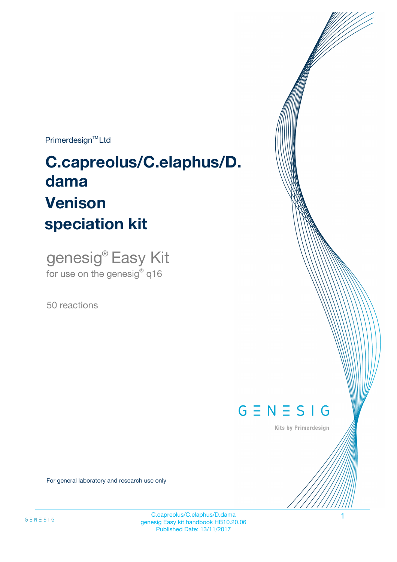$Primerdesign^{\text{TM}}Ltd$ 

# **C.capreolus/C.elaphus/D. dama speciation kit Venison**

genesig® Easy Kit for use on the genesig**®** q16

50 reactions



Kits by Primerdesign

For general laboratory and research use only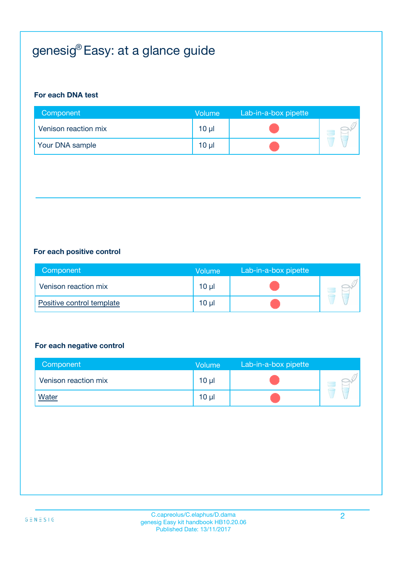# genesig® Easy: at a glance guide

#### **For each DNA test**

| Component            | <b>Volume</b>   | Lab-in-a-box pipette |  |
|----------------------|-----------------|----------------------|--|
| Venison reaction mix | 10 <sub>µ</sub> |                      |  |
| Your DNA sample      | 10 <sub>µ</sub> |                      |  |

#### **For each positive control**

| Component                 | <b>Volume</b> | Lab-in-a-box pipette |  |
|---------------------------|---------------|----------------------|--|
| Venison reaction mix      | 10 µl         |                      |  |
| Positive control template | 10 µl         |                      |  |

#### **For each negative control**

| Component            | <b>Volume</b>   | Lab-in-a-box pipette |  |
|----------------------|-----------------|----------------------|--|
| Venison reaction mix | $10 \mu$        |                      |  |
| <b>Water</b>         | 10 <sub>µ</sub> |                      |  |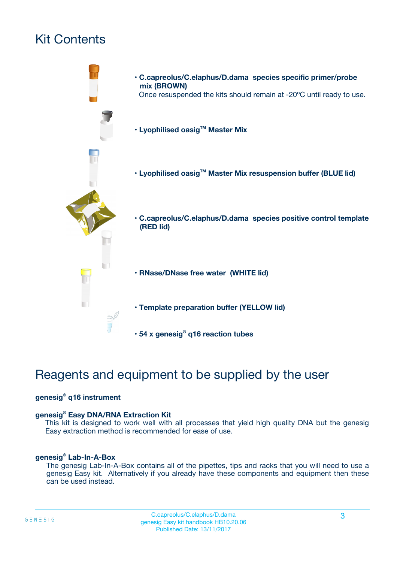# Kit Contents



# Reagents and equipment to be supplied by the user

#### **genesig® q16 instrument**

#### **genesig® Easy DNA/RNA Extraction Kit**

This kit is designed to work well with all processes that yield high quality DNA but the genesig Easy extraction method is recommended for ease of use.

#### **genesig® Lab-In-A-Box**

The genesig Lab-In-A-Box contains all of the pipettes, tips and racks that you will need to use a genesig Easy kit. Alternatively if you already have these components and equipment then these can be used instead.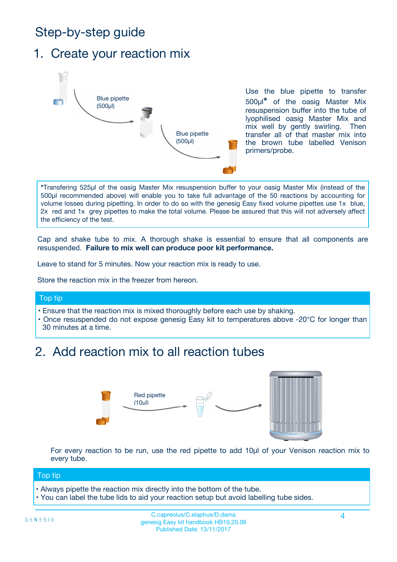# Step-by-step guide

### 1. Create your reaction mix



Use the blue pipette to transfer 500µl**\*** of the oasig Master Mix resuspension buffer into the tube of lyophilised oasig Master Mix and mix well by gently swirling. Then transfer all of that master mix into the brown tube labelled Venison primers/probe.

**\***Transfering 525µl of the oasig Master Mix resuspension buffer to your oasig Master Mix (instead of the 500µl recommended above) will enable you to take full advantage of the 50 reactions by accounting for volume losses during pipetting. In order to do so with the genesig Easy fixed volume pipettes use 1x blue, 2x red and 1x grey pipettes to make the total volume. Please be assured that this will not adversely affect the efficiency of the test.

Cap and shake tube to mix. A thorough shake is essential to ensure that all components are resuspended. **Failure to mix well can produce poor kit performance.**

Leave to stand for 5 minutes. Now your reaction mix is ready to use.

Store the reaction mix in the freezer from hereon.

#### Top tip

- Ensure that the reaction mix is mixed thoroughly before each use by shaking.
- **•** Once resuspended do not expose genesig Easy kit to temperatures above -20°C for longer than 30 minutes at a time.

# 2. Add reaction mix to all reaction tubes



For every reaction to be run, use the red pipette to add 10µl of your Venison reaction mix to every tube.

#### Top tip

- Always pipette the reaction mix directly into the bottom of the tube.
- You can label the tube lids to aid your reaction setup but avoid labelling tube sides.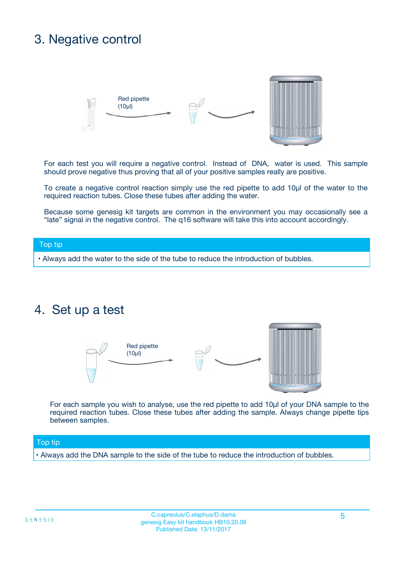# 3. Negative control



For each test you will require a negative control. Instead of DNA, water is used. This sample should prove negative thus proving that all of your positive samples really are positive.

To create a negative control reaction simply use the red pipette to add 10µl of the water to the required reaction tubes. Close these tubes after adding the water.

Because some genesig kit targets are common in the environment you may occasionally see a "late" signal in the negative control. The q16 software will take this into account accordingly.

#### Top tip

**•** Always add the water to the side of the tube to reduce the introduction of bubbles.

### 4. Set up a test



For each sample you wish to analyse, use the red pipette to add 10µl of your DNA sample to the required reaction tubes. Close these tubes after adding the sample. Always change pipette tips between samples.

#### Top tip

**•** Always add the DNA sample to the side of the tube to reduce the introduction of bubbles.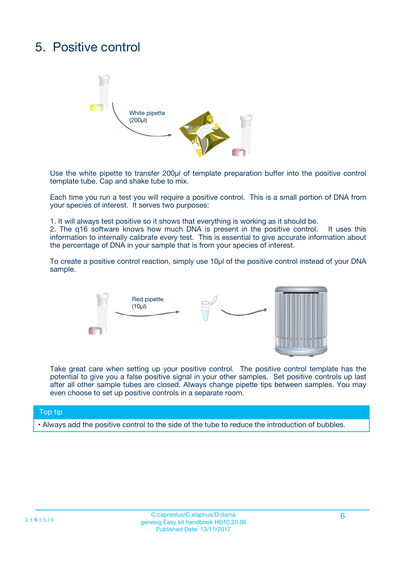# 5. Positive control



Use the white pipette to transfer 200µl of template preparation buffer into the positive control template tube. Cap and shake tube to mix.

Each time you run a test you will require a positive control. This is a small portion of DNA from your species of interest. It serves two purposes:

1. It will always test positive so it shows that everything is working as it should be.

2. The q16 software knows how much DNA is present in the positive control. It uses this information to internally calibrate every test. This is essential to give accurate information about the percentage of DNA in your sample that is from your species of interest.

To create a positive control reaction, simply use 10µl of the positive control instead of your DNA sample.



Take great care when setting up your positive control. The positive control template has the potential to give you a false positive signal in your other samples. Set positive controls up last after all other sample tubes are closed. Always change pipette tips between samples. You may even choose to set up positive controls in a separate room.

#### Top tip

**•** Always add the positive control to the side of the tube to reduce the introduction of bubbles.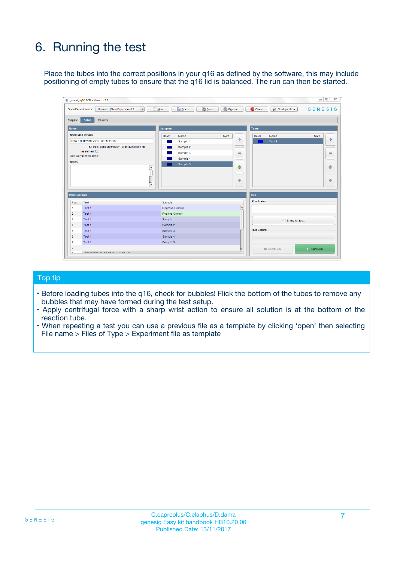# 6. Running the test

Place the tubes into the correct positions in your q16 as defined by the software, this may include positioning of empty tubes to ensure that the q16 lid is balanced. The run can then be started.

|                                    | genesig q16 PCR software - 1.2                                                    |                                     |                              |                                   | $\Box$<br>$\Sigma$           |
|------------------------------------|-----------------------------------------------------------------------------------|-------------------------------------|------------------------------|-----------------------------------|------------------------------|
|                                    | <b>Open Experiments:</b><br>Unsaved (New Experiment 2<br>$\overline{\phantom{a}}$ | <b>E</b> Open<br>Save<br>$\Box$ New | Save As                      | <b>C</b> Close<br>& Configuration | $G \equiv N \equiv S \mid G$ |
| Stages:                            | Setup<br><b>Results</b>                                                           |                                     |                              |                                   |                              |
| <b>Notes</b>                       |                                                                                   | <b>Samples</b>                      |                              | <b>Tests</b>                      |                              |
|                                    | <b>Name and Details</b>                                                           | Color<br>Name                       | Note                         | Color<br>Name                     | Note                         |
|                                    | New Experiment 2017-10-26 11:06                                                   | Sample 1                            | 유                            | Test <sub>1</sub>                 | ÷                            |
|                                    | Kit type: genesig® Easy Target Detection kit                                      | Sample 2                            |                              |                                   |                              |
|                                    | Instrument Id.:                                                                   | Sample 3                            | $\qquad \qquad \blacksquare$ |                                   | $\qquad \qquad \blacksquare$ |
|                                    | <b>Run Completion Time:</b>                                                       | Sample 4                            |                              |                                   |                              |
| <b>Notes</b>                       | $\blacktriangle$                                                                  | Sample 5                            | ♠<br>÷                       |                                   | 41<br>€                      |
| <b>Well Contents</b>               | $\overline{\mathbf{v}}$                                                           |                                     |                              | <b>Run</b>                        |                              |
| Pos.                               | <b>Test</b>                                                                       | Sample                              |                              | <b>Run Status</b>                 |                              |
| 1                                  | Test 1                                                                            | <b>Negative Control</b>             | $\blacktriangle$             |                                   |                              |
| $\overline{2}$                     | Test 1                                                                            | <b>Positive Control</b>             |                              |                                   |                              |
| 3                                  | Test 1                                                                            | Sample 1                            |                              | Show full log                     |                              |
|                                    | Test 1                                                                            | Sample 2                            |                              |                                   |                              |
|                                    |                                                                                   | Sample 3                            |                              | <b>Run Control</b>                |                              |
|                                    | Test 1                                                                            |                                     |                              |                                   |                              |
|                                    | Test 1                                                                            | Sample 4                            |                              |                                   |                              |
|                                    | Test 1                                                                            | Sample 5                            |                              |                                   |                              |
| 4<br>5<br>6<br>$\overline{7}$<br>8 |                                                                                   |                                     | $\overline{\mathbf{v}}$      | Abort Run                         | $\triangleright$ Start Run   |

#### Top tip

- Before loading tubes into the q16, check for bubbles! Flick the bottom of the tubes to remove any bubbles that may have formed during the test setup.
- Apply centrifugal force with a sharp wrist action to ensure all solution is at the bottom of the reaction tube.
- When repeating a test you can use a previous file as a template by clicking 'open' then selecting File name > Files of Type > Experiment file as template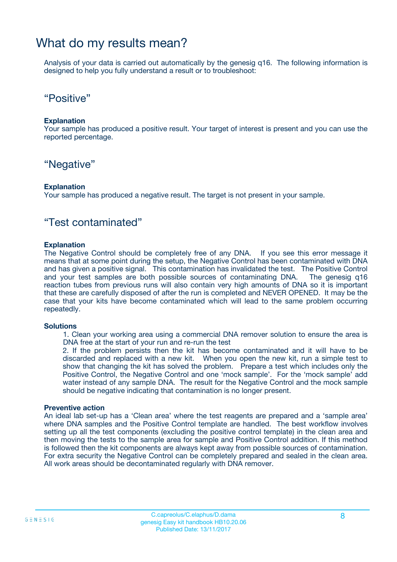### What do my results mean?

Analysis of your data is carried out automatically by the genesig q16. The following information is designed to help you fully understand a result or to troubleshoot:

### "Positive"

#### **Explanation**

Your sample has produced a positive result. Your target of interest is present and you can use the reported percentage.

### "Negative"

#### **Explanation**

Your sample has produced a negative result. The target is not present in your sample.

### "Test contaminated"

#### **Explanation**

The Negative Control should be completely free of any DNA. If you see this error message it means that at some point during the setup, the Negative Control has been contaminated with DNA and has given a positive signal. This contamination has invalidated the test. The Positive Control and your test samples are both possible sources of contaminating DNA. The genesig q16 reaction tubes from previous runs will also contain very high amounts of DNA so it is important that these are carefully disposed of after the run is completed and NEVER OPENED. It may be the case that your kits have become contaminated which will lead to the same problem occurring repeatedly.

#### **Solutions**

1. Clean your working area using a commercial DNA remover solution to ensure the area is DNA free at the start of your run and re-run the test

2. If the problem persists then the kit has become contaminated and it will have to be discarded and replaced with a new kit. When you open the new kit, run a simple test to show that changing the kit has solved the problem. Prepare a test which includes only the Positive Control, the Negative Control and one 'mock sample'. For the 'mock sample' add water instead of any sample DNA. The result for the Negative Control and the mock sample should be negative indicating that contamination is no longer present.

#### **Preventive action**

An ideal lab set-up has a 'Clean area' where the test reagents are prepared and a 'sample area' where DNA samples and the Positive Control template are handled. The best workflow involves setting up all the test components (excluding the positive control template) in the clean area and then moving the tests to the sample area for sample and Positive Control addition. If this method is followed then the kit components are always kept away from possible sources of contamination. For extra security the Negative Control can be completely prepared and sealed in the clean area. All work areas should be decontaminated regularly with DNA remover.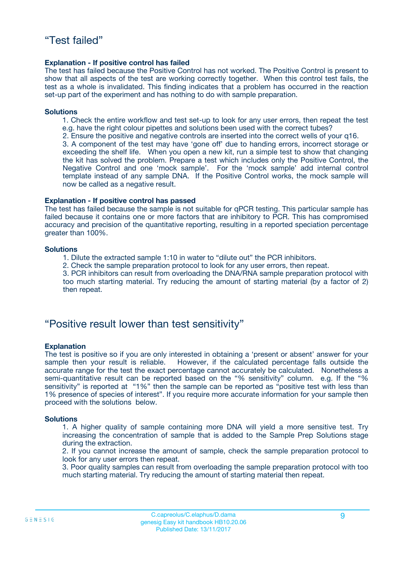#### **Explanation - If positive control has failed**

The test has failed because the Positive Control has not worked. The Positive Control is present to show that all aspects of the test are working correctly together. When this control test fails, the test as a whole is invalidated. This finding indicates that a problem has occurred in the reaction set-up part of the experiment and has nothing to do with sample preparation.

#### **Solutions**

- 1. Check the entire workflow and test set-up to look for any user errors, then repeat the test e.g. have the right colour pipettes and solutions been used with the correct tubes?
- 2. Ensure the positive and negative controls are inserted into the correct wells of your q16.

3. A component of the test may have 'gone off' due to handing errors, incorrect storage or exceeding the shelf life. When you open a new kit, run a simple test to show that changing the kit has solved the problem. Prepare a test which includes only the Positive Control, the Negative Control and one 'mock sample'. For the 'mock sample' add internal control template instead of any sample DNA. If the Positive Control works, the mock sample will now be called as a negative result.

#### **Explanation - If positive control has passed**

The test has failed because the sample is not suitable for qPCR testing. This particular sample has failed because it contains one or more factors that are inhibitory to PCR. This has compromised accuracy and precision of the quantitative reporting, resulting in a reported speciation percentage greater than 100%.

#### **Solutions**

- 1. Dilute the extracted sample 1:10 in water to "dilute out" the PCR inhibitors.
- 2. Check the sample preparation protocol to look for any user errors, then repeat.

3. PCR inhibitors can result from overloading the DNA/RNA sample preparation protocol with too much starting material. Try reducing the amount of starting material (by a factor of 2) then repeat.

### "Positive result lower than test sensitivity"

#### **Explanation**

The test is positive so if you are only interested in obtaining a 'present or absent' answer for your sample then your result is reliable. However, if the calculated percentage falls outside the accurate range for the test the exact percentage cannot accurately be calculated. Nonetheless a semi-quantitative result can be reported based on the "% sensitivity" column. e.g. If the "% sensitivity" is reported at "1%" then the sample can be reported as "positive test with less than 1% presence of species of interest". If you require more accurate information for your sample then proceed with the solutions below.

#### **Solutions**

1. A higher quality of sample containing more DNA will yield a more sensitive test. Try increasing the concentration of sample that is added to the Sample Prep Solutions stage during the extraction.

2. If you cannot increase the amount of sample, check the sample preparation protocol to look for any user errors then repeat.

3. Poor quality samples can result from overloading the sample preparation protocol with too much starting material. Try reducing the amount of starting material then repeat.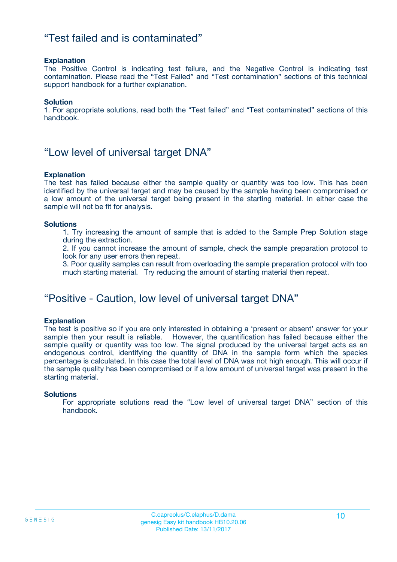### "Test failed and is contaminated"

#### **Explanation**

The Positive Control is indicating test failure, and the Negative Control is indicating test contamination. Please read the "Test Failed" and "Test contamination" sections of this technical support handbook for a further explanation.

#### **Solution**

1. For appropriate solutions, read both the "Test failed" and "Test contaminated" sections of this handbook.

### "Low level of universal target DNA"

#### **Explanation**

The test has failed because either the sample quality or quantity was too low. This has been identified by the universal target and may be caused by the sample having been compromised or a low amount of the universal target being present in the starting material. In either case the sample will not be fit for analysis.

#### **Solutions**

1. Try increasing the amount of sample that is added to the Sample Prep Solution stage during the extraction.

2. If you cannot increase the amount of sample, check the sample preparation protocol to look for any user errors then repeat.

3. Poor quality samples can result from overloading the sample preparation protocol with too much starting material. Try reducing the amount of starting material then repeat.

### "Positive - Caution, low level of universal target DNA"

#### **Explanation**

The test is positive so if you are only interested in obtaining a 'present or absent' answer for your sample then your result is reliable. However, the quantification has failed because either the sample quality or quantity was too low. The signal produced by the universal target acts as an endogenous control, identifying the quantity of DNA in the sample form which the species percentage is calculated. In this case the total level of DNA was not high enough. This will occur if the sample quality has been compromised or if a low amount of universal target was present in the starting material.

#### **Solutions**

For appropriate solutions read the "Low level of universal target DNA" section of this handbook.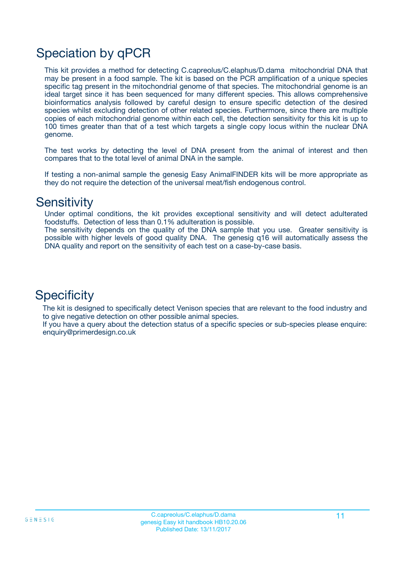# Speciation by qPCR

This kit provides a method for detecting C.capreolus/C.elaphus/D.dama mitochondrial DNA that may be present in a food sample. The kit is based on the PCR amplification of a unique species specific tag present in the mitochondrial genome of that species. The mitochondrial genome is an ideal target since it has been sequenced for many different species. This allows comprehensive bioinformatics analysis followed by careful design to ensure specific detection of the desired species whilst excluding detection of other related species. Furthermore, since there are multiple copies of each mitochondrial genome within each cell, the detection sensitivity for this kit is up to 100 times greater than that of a test which targets a single copy locus within the nuclear DNA genome.

The test works by detecting the level of DNA present from the animal of interest and then compares that to the total level of animal DNA in the sample.

If testing a non-animal sample the genesig Easy AnimalFINDER kits will be more appropriate as they do not require the detection of the universal meat/fish endogenous control.

### **Sensitivity**

Under optimal conditions, the kit provides exceptional sensitivity and will detect adulterated foodstuffs. Detection of less than 0.1% adulteration is possible.

The sensitivity depends on the quality of the DNA sample that you use. Greater sensitivity is possible with higher levels of good quality DNA. The genesig q16 will automatically assess the DNA quality and report on the sensitivity of each test on a case-by-case basis.

### **Specificity**

The kit is designed to specifically detect Venison species that are relevant to the food industry and to give negative detection on other possible animal species.

If you have a query about the detection status of a specific species or sub-species please enquire: enquiry@primerdesign.co.uk